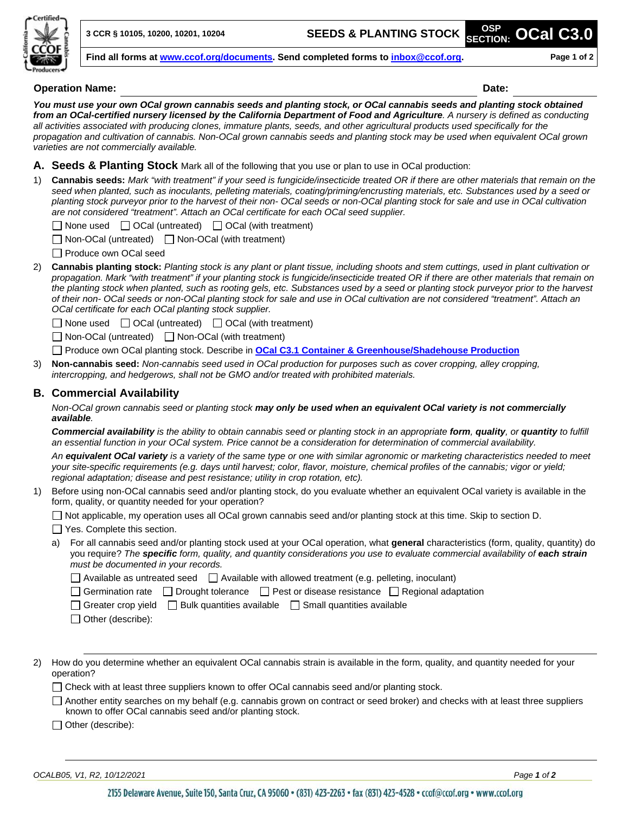

**3 CCR § 10105, 10200, 10201, 10204 SEEDS & PLANTING STOCK OSP**

**Find all forms at [www.ccof.org/documents.](https://www.ccof.org/documents) Send completed forms to inbox@ccof.org. Page 1 of 2**

#### **Operation Name: Date:**

**SECTION: OCal C3.0**

*You must use your own OCal grown cannabis seeds and planting stock, or OCal cannabis seeds and planting stock obtained from an OCal-certified nursery licensed by the California Department of Food and Agriculture. A nursery is defined as conducting all activities associated with producing clones, immature plants, seeds, and other agricultural products used specifically for the propagation and cultivation of cannabis. Non-OCal grown cannabis seeds and planting stock may be used when equivalent OCal grown varieties are not commercially available.*

**A. Seeds & Planting Stock** Mark all of the following that you use or plan to use in OCal production:

1) **Cannabis seeds:** *Mark "with treatment" if your seed is fungicide/insecticide treated OR if there are other materials that remain on the seed when planted, such as inoculants, pelleting materials, coating/priming/encrusting materials, etc. Substances used by a seed or planting stock purveyor prior to the harvest of their non- OCal seeds or non-OCal planting stock for sale and use in OCal cultivation are not considered "treatment". Attach an OCal certificate for each OCal seed supplier.*

 $\Box$  None used  $\Box$  OCal (untreated)  $\Box$  OCal (with treatment)

 $\Box$  Non-OCal (untreated)  $\Box$  Non-OCal (with treatment)

□ Produce own OCal seed

2) **Cannabis planting stock:** *Planting stock is any plant or plant tissue, including shoots and stem cuttings, used in plant cultivation or propagation. Mark "with treatment" if your planting stock is fungicide/insecticide treated OR if there are other materials that remain on the planting stock when planted, such as rooting gels, etc. Substances used by a seed or planting stock purveyor prior to the harvest of their non- OCal seeds or non-OCal planting stock for sale and use in OCal cultivation are not considered "treatment". Attach an OCal certificate for each OCal planting stock supplier.*

 $\Box$  None used  $\Box$  OCal (untreated)  $\Box$  OCal (with treatment)

 $\Box$  Non-OCal (untreated)  $\Box$  Non-OCal (with treatment)

Produce own OCal planting stock. Describe in **[OCal C3.1 Container & Greenhouse/Shadehouse Production](http://www.ccof.org/resource/ocal-c31-container-greenhouseshadehouse-production)**

3) **Non-cannabis seed:** *Non-cannabis seed used in OCal production for purposes such as cover cropping, alley cropping, intercropping, and hedgerows, shall not be GMO and/or treated with prohibited materials.*

# **B. Commercial Availability**

*Non-OCal grown cannabis seed or planting stock may only be used when an equivalent OCal variety is not commercially available.*

*Commercial availability is the ability to obtain cannabis seed or planting stock in an appropriate form, quality, or quantity to fulfill an essential function in your OCal system. Price cannot be a consideration for determination of commercial availability.*

*An equivalent OCal variety is a variety of the same type or one with similar agronomic or marketing characteristics needed to meet your site-specific requirements (e.g. days until harvest; color, flavor, moisture, chemical profiles of the cannabis; vigor or yield; regional adaptation; disease and pest resistance; utility in crop rotation, etc).*

1) Before using non-OCal cannabis seed and/or planting stock, do you evaluate whether an equivalent OCal variety is available in the form, quality, or quantity needed for your operation?

Not applicable, my operation uses all OCal grown cannabis seed and/or planting stock at this time. Skip to section D.

□ Yes. Complete this section.

a) For all cannabis seed and/or planting stock used at your OCal operation, what **general** characteristics (form, quality, quantity) do you require? *The specific form, quality, and quantity considerations you use to evaluate commercial availability of each strain must be documented in your records.* 

 $\Box$  Available as untreated seed  $\Box$  Available with allowed treatment (e.g. pelleting, inoculant)

Germination rate  $\Box$  Drought tolerance  $\Box$  Pest or disease resistance  $\Box$  Regional adaptation

- $\Box$  Greater crop yield  $\Box$  Bulk quantities available  $\Box$  Small quantities available
- □ Other (describe):
- 2) How do you determine whether an equivalent OCal cannabis strain is available in the form, quality, and quantity needed for your operation?

 $\Box$  Check with at least three suppliers known to offer OCal cannabis seed and/or planting stock.

Another entity searches on my behalf (e.g. cannabis grown on contract or seed broker) and checks with at least three suppliers known to offer OCal cannabis seed and/or planting stock.

□ Other (describe):

*OCALB05, V1, R2, 10/12/2021 Page 1 of 2*